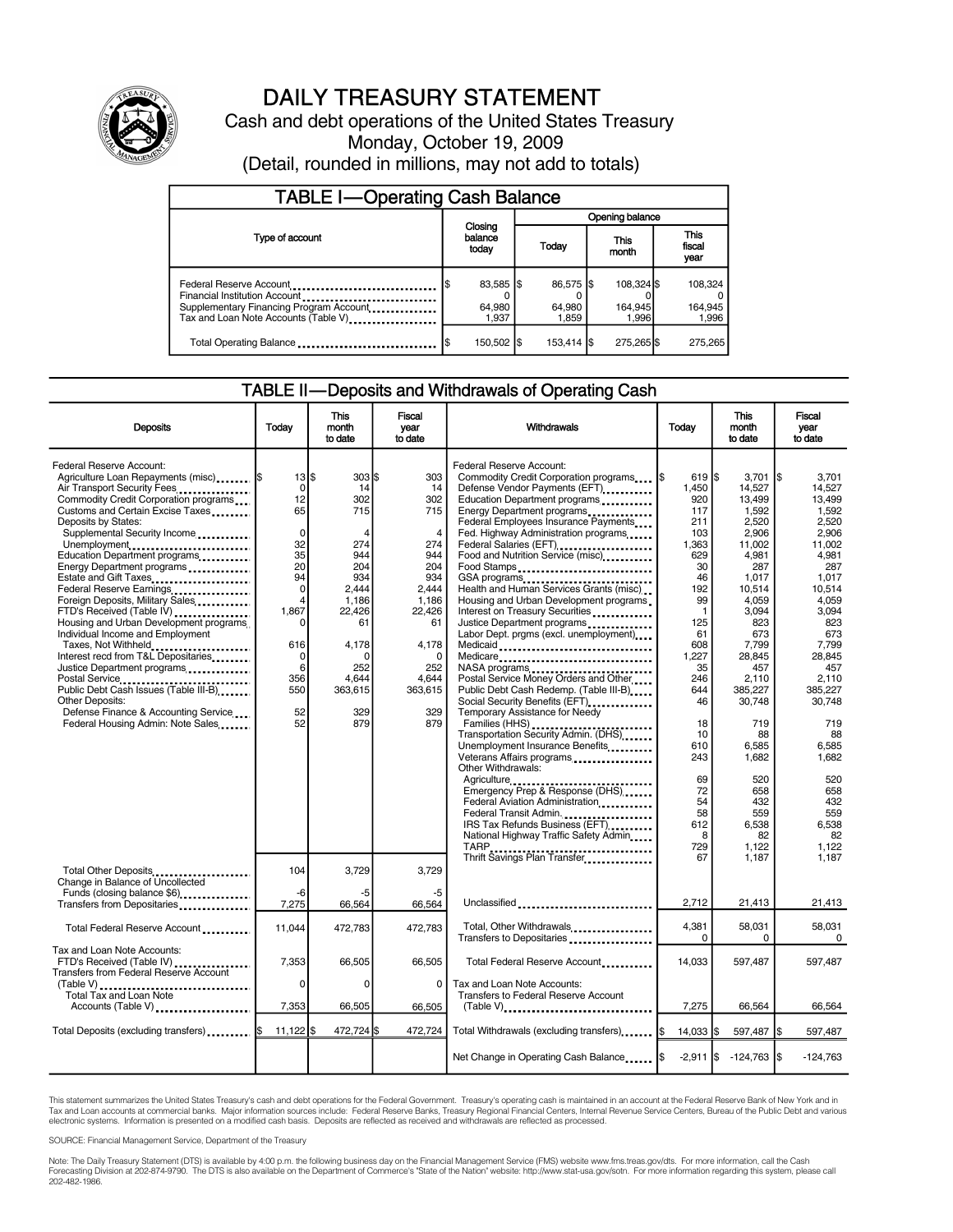

### DAILY TREASURY STATEMENT

Cash and debt operations of the United States Treasury Monday, October 19, 2009 (Detail, rounded in millions, may not add to totals)

| <b>TABLE I-Operating Cash Balance</b>                                                                                                       |  |                              |  |                              |  |                                |  |                               |  |
|---------------------------------------------------------------------------------------------------------------------------------------------|--|------------------------------|--|------------------------------|--|--------------------------------|--|-------------------------------|--|
|                                                                                                                                             |  |                              |  | Opening balance              |  |                                |  |                               |  |
| Type of account                                                                                                                             |  | Closing<br>balance<br>today  |  | Today                        |  | This<br>month                  |  | <b>This</b><br>fiscal<br>year |  |
| Federal Reserve Account<br>Financial Institution Account<br>Supplementary Financing Program Account<br>Tax and Loan Note Accounts (Table V) |  | 83,585 \$<br>64.980<br>1.937 |  | 86,575 \$<br>64.980<br>1.859 |  | 108.324 \$<br>164,945<br>1.996 |  | 108.324<br>164,945<br>1,996   |  |
| Total Operating Balance                                                                                                                     |  | 150,502   \$                 |  | 153.414 S                    |  | 275.265                        |  | 275,265                       |  |

#### TABLE II—Deposits and Withdrawals of Operating Cash

| <b>Deposits</b>                                                                                                                                                                                                                                                                                                                                                                                                                                                                                                                                                                                                                                                                                                                                                                                | Todav                                                                                                                                                         | This<br>month<br>to date                                                                                                                                                  | Fiscal<br>vear<br>to date                                                                                                                                             | Withdrawals                                                                                                                                                                                                                                                                                                                                                                                                                                                                                                                                                                                                                                                                                                                                                                                                                                                                                                                                                                                                                                                                          | This<br>Today<br>month<br>to date                                                                                                                                                                                                               |                                                                                                                                                                                                                                                                                       | Fiscal<br>vear                                                                                                                                                                                                                                                                               |  | to date |
|------------------------------------------------------------------------------------------------------------------------------------------------------------------------------------------------------------------------------------------------------------------------------------------------------------------------------------------------------------------------------------------------------------------------------------------------------------------------------------------------------------------------------------------------------------------------------------------------------------------------------------------------------------------------------------------------------------------------------------------------------------------------------------------------|---------------------------------------------------------------------------------------------------------------------------------------------------------------|---------------------------------------------------------------------------------------------------------------------------------------------------------------------------|-----------------------------------------------------------------------------------------------------------------------------------------------------------------------|--------------------------------------------------------------------------------------------------------------------------------------------------------------------------------------------------------------------------------------------------------------------------------------------------------------------------------------------------------------------------------------------------------------------------------------------------------------------------------------------------------------------------------------------------------------------------------------------------------------------------------------------------------------------------------------------------------------------------------------------------------------------------------------------------------------------------------------------------------------------------------------------------------------------------------------------------------------------------------------------------------------------------------------------------------------------------------------|-------------------------------------------------------------------------------------------------------------------------------------------------------------------------------------------------------------------------------------------------|---------------------------------------------------------------------------------------------------------------------------------------------------------------------------------------------------------------------------------------------------------------------------------------|----------------------------------------------------------------------------------------------------------------------------------------------------------------------------------------------------------------------------------------------------------------------------------------------|--|---------|
| <b>Federal Reserve Account:</b><br>Agriculture Loan Repayments (misc)  \$<br>Air Transport Security Fees<br>Commodity Credit Corporation programs<br>Customs and Certain Excise Taxes<br>Deposits by States:<br>Supplemental Security Income<br>Unemployment<br>Education Department programs<br>Energy Department programs<br>Estate and Gift Taxes<br>Federal Reserve Earnings<br>Foreign Deposits, Military Sales<br>FTD's Received (Table IV)<br>Housing and Urban Development programs<br>Individual Income and Employment<br>Taxes, Not Withheld<br>Interest recd from T&L Depositaries<br>Justice Department programs<br>Postal Service<br>Public Debt Cash Issues (Table III-B)<br><b>Other Deposits:</b><br>Defense Finance & Accounting Service<br>Federal Housing Admin: Note Sales | 13 IS<br>$\mathbf 0$<br>12<br>65<br>$\mathbf 0$<br>32<br>35<br>20<br>94<br>$\mathbf 0$<br>1,867<br>$\Omega$<br>616<br>$\Omega$<br>6<br>356<br>550<br>52<br>52 | $303$ $\frac{1}{3}$<br>14<br>302<br>715<br>$\overline{4}$<br>274<br>944<br>204<br>934<br>2.444<br>1,186<br>22,426<br>61<br>4,178<br>252<br>4,644<br>363,615<br>329<br>879 | 303<br>14<br>302<br>715<br>$\overline{4}$<br>274<br>944<br>204<br>934<br>2.444<br>1,186<br>22,426<br>61<br>4,178<br>$\Omega$<br>252<br>4,644<br>363,615<br>329<br>879 | Federal Reserve Account:<br>Commodity Credit Corporation programs<br>Defense Vendor Payments (EFT)<br>Education Department programs<br>Energy Department programs<br>Federal Employees Insurance Payments<br>Fed. Highway Administration programs<br>Federal Salaries (EFT)<br><br>Food and Nutrition Service (misc)<br>Food Stamps<br>GSA programs<br>Health and Human Services Grants (misc)<br>Housing and Urban Development programs<br>Interest on Treasury Securities<br>Justice Department programs<br>Labor Dept. prgms (excl. unemployment)<br>Medicaid<br>Medicare<br>NASA programs<br>Postal Service Money Orders and Other<br>Public Debt Cash Redemp. (Table III-B)<br>Social Security Benefits (EFT)<br>Temporary Assistance for Needy<br>Families (HHS)<br>Transportation Security Admin. (DHS)<br>Unemployment Insurance Benefits<br>Veterans Affairs programs<br>Other Withdrawals:<br>Federal Aviation Administration<br>Federal Transit Admin.<br>IRS Tax Refunds Business (EFT)<br>National Highway Traffic Safety Admin<br>TARP<br>Thrift Savings Plan Transfer | $619$ $\sqrt{5}$<br>1,450<br>920<br>117<br>211<br>103<br>1,363<br>629<br>30<br>46<br>192<br>99<br>$\mathbf 1$<br>125<br>61<br>608<br>1,227<br>35<br>246<br>644<br>46<br>18<br>10<br>610<br>243<br>69<br>72<br>54<br>58<br>612<br>8<br>729<br>67 | 3.701<br>14,527<br>13,499<br>1.592<br>2,520<br>2,906<br>11.002<br>4,981<br>287<br>1.017<br>10.514<br>4,059<br>3,094<br>823<br>673<br>7,799<br>28.845<br>457<br>2,110<br>385,227<br>30,748<br>719<br>88<br>6,585<br>1.682<br>520<br>658<br>432<br>559<br>6,538<br>82<br>1.122<br>1,187 | l\$<br>3.701<br>14,527<br>13,499<br>1.592<br>2,520<br>2,906<br>11,002<br>4,981<br>287<br>1.017<br>10,514<br>4.059<br>3,094<br>823<br>673<br>7,799<br>28.845<br>457<br>2,110<br>385.227<br>30.748<br>719<br>88<br>6,585<br>1.682<br>520<br>658<br>432<br>559<br>6,538<br>82<br>1.122<br>1,187 |  |         |
| Total Other Deposits<br>Change in Balance of Uncollected<br>Funds (closing balance \$6)                                                                                                                                                                                                                                                                                                                                                                                                                                                                                                                                                                                                                                                                                                        | 104<br>-6                                                                                                                                                     | 3,729<br>-5                                                                                                                                                               | 3,729<br>-5                                                                                                                                                           |                                                                                                                                                                                                                                                                                                                                                                                                                                                                                                                                                                                                                                                                                                                                                                                                                                                                                                                                                                                                                                                                                      |                                                                                                                                                                                                                                                 |                                                                                                                                                                                                                                                                                       |                                                                                                                                                                                                                                                                                              |  |         |
| Transfers from Depositaries                                                                                                                                                                                                                                                                                                                                                                                                                                                                                                                                                                                                                                                                                                                                                                    | 7,275                                                                                                                                                         | 66,564                                                                                                                                                                    | 66,564                                                                                                                                                                | Unclassified                                                                                                                                                                                                                                                                                                                                                                                                                                                                                                                                                                                                                                                                                                                                                                                                                                                                                                                                                                                                                                                                         | 2,712                                                                                                                                                                                                                                           | 21,413                                                                                                                                                                                                                                                                                | 21,413                                                                                                                                                                                                                                                                                       |  |         |
| Total Federal Reserve Account                                                                                                                                                                                                                                                                                                                                                                                                                                                                                                                                                                                                                                                                                                                                                                  | 11.044                                                                                                                                                        | 472,783                                                                                                                                                                   | 472.783                                                                                                                                                               | Total, Other Withdrawals<br>Transfers to Depositaries                                                                                                                                                                                                                                                                                                                                                                                                                                                                                                                                                                                                                                                                                                                                                                                                                                                                                                                                                                                                                                | 4.381<br>0                                                                                                                                                                                                                                      | 58.031<br>0                                                                                                                                                                                                                                                                           | 58.031<br>0                                                                                                                                                                                                                                                                                  |  |         |
| Tax and Loan Note Accounts:<br>FTD's Received (Table IV)<br>Transfers from Federal Reserve Account<br>(Table V)                                                                                                                                                                                                                                                                                                                                                                                                                                                                                                                                                                                                                                                                                | 7,353<br>$\mathbf 0$                                                                                                                                          | 66,505<br>$\mathbf 0$                                                                                                                                                     | 66,505<br>0                                                                                                                                                           | Total Federal Reserve Account<br>Tax and Loan Note Accounts:                                                                                                                                                                                                                                                                                                                                                                                                                                                                                                                                                                                                                                                                                                                                                                                                                                                                                                                                                                                                                         | 14,033                                                                                                                                                                                                                                          | 597.487                                                                                                                                                                                                                                                                               | 597,487                                                                                                                                                                                                                                                                                      |  |         |
| <b>Total Tax and Loan Note</b><br>Accounts (Table V)                                                                                                                                                                                                                                                                                                                                                                                                                                                                                                                                                                                                                                                                                                                                           | 7,353                                                                                                                                                         | 66,505                                                                                                                                                                    | 66,505                                                                                                                                                                | <b>Transfers to Federal Reserve Account</b><br>(Table V)                                                                                                                                                                                                                                                                                                                                                                                                                                                                                                                                                                                                                                                                                                                                                                                                                                                                                                                                                                                                                             | 7,275                                                                                                                                                                                                                                           | 66,564                                                                                                                                                                                                                                                                                | 66,564                                                                                                                                                                                                                                                                                       |  |         |
| Total Deposits (excluding transfers)                                                                                                                                                                                                                                                                                                                                                                                                                                                                                                                                                                                                                                                                                                                                                           | $11,122$ \$                                                                                                                                                   | 472,724 \$                                                                                                                                                                | 472,724                                                                                                                                                               | Total Withdrawals (excluding transfers) S                                                                                                                                                                                                                                                                                                                                                                                                                                                                                                                                                                                                                                                                                                                                                                                                                                                                                                                                                                                                                                            | $14,033$ $\frac{1}{3}$                                                                                                                                                                                                                          | 597,487 \$                                                                                                                                                                                                                                                                            | 597,487                                                                                                                                                                                                                                                                                      |  |         |
|                                                                                                                                                                                                                                                                                                                                                                                                                                                                                                                                                                                                                                                                                                                                                                                                |                                                                                                                                                               |                                                                                                                                                                           |                                                                                                                                                                       | Net Change in Operating Cash Balance                                                                                                                                                                                                                                                                                                                                                                                                                                                                                                                                                                                                                                                                                                                                                                                                                                                                                                                                                                                                                                                 |                                                                                                                                                                                                                                                 | $-2,911$ $\mid$ \$ $-124,763$ $\mid$ \$                                                                                                                                                                                                                                               | $-124,763$                                                                                                                                                                                                                                                                                   |  |         |

This statement summarizes the United States Treasury's cash and debt operations for the Federal Government. Treasury's operating cash is maintained in an account at the Federal Reserve Bank of New York and in Tax and Loan accounts at commercial banks. Major information sources include: Federal Reserve Banks, Treasury Regional Financial Centers, Internal Revenue Service Centers, Bureau of the Public Debt and various<br>electronic s

SOURCE: Financial Management Service, Department of the Treasury

Note: The Daily Treasury Statement (DTS) is available by 4:00 p.m. the following business day on the Financial Management Service (FMS) website www.fms.treas.gov/dts. For more information, call the Cash<br>Forecasting Divisio